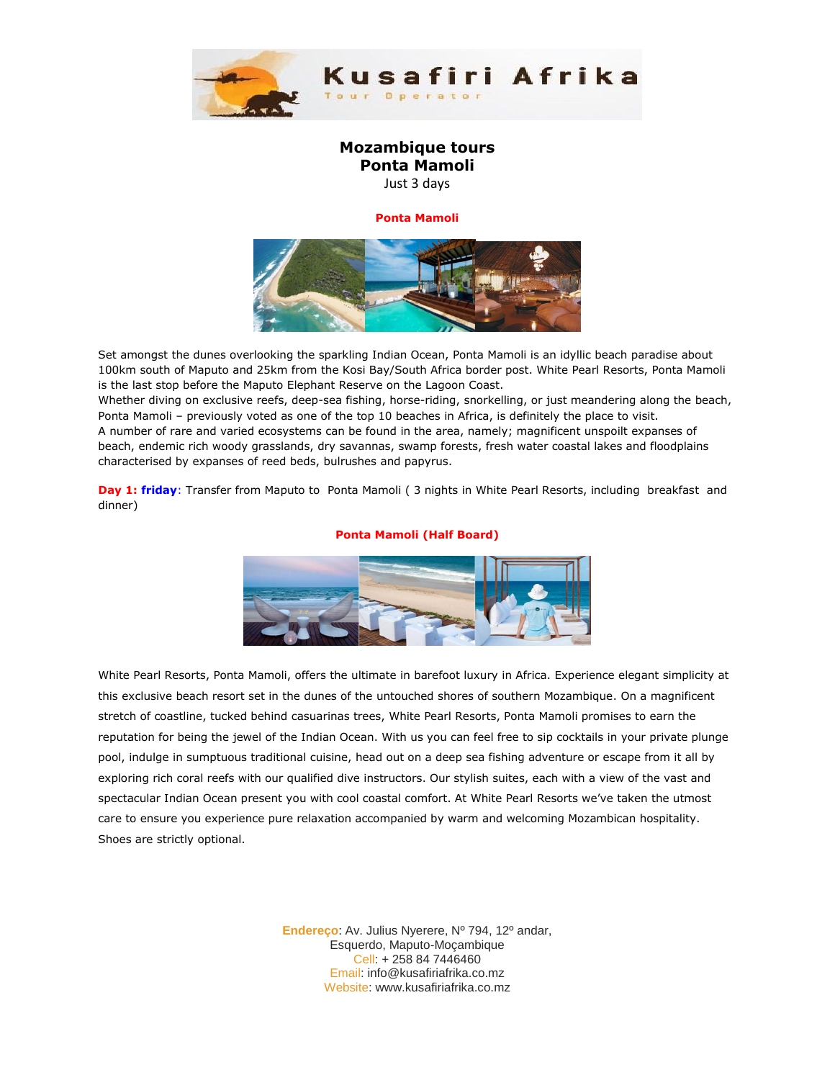

## **Mozambique tours Ponta Mamoli**

Just 3 days

## **Ponta Mamoli**



Set amongst the dunes overlooking the sparkling Indian Ocean, Ponta Mamoli is an idyllic beach paradise about 100km south of Maputo and 25km from the Kosi Bay/South Africa border post. White Pearl Resorts, Ponta Mamoli is the last stop before the Maputo Elephant Reserve on the Lagoon Coast.

Whether diving on exclusive reefs, deep-sea fishing, horse-riding, snorkelling, or just meandering along the beach, Ponta Mamoli – previously voted as one of the top 10 beaches in Africa, is definitely the place to visit. A number of rare and varied ecosystems can be found in the area, namely; magnificent unspoilt expanses of beach, endemic rich woody grasslands, dry savannas, swamp forests, fresh water coastal lakes and floodplains characterised by expanses of reed beds, bulrushes and papyrus.

**Day 1: friday**: Transfer from Maputo to Ponta Mamoli ( 3 nights in White Pearl Resorts, including breakfast and dinner)

## **Ponta Mamoli (Half Board)**



White Pearl Resorts, Ponta Mamoli, offers the ultimate in barefoot luxury in Africa. Experience elegant simplicity at this exclusive beach resort set in the dunes of the untouched shores of southern Mozambique. On a magnificent stretch of coastline, tucked behind casuarinas trees, White Pearl Resorts, Ponta Mamoli promises to earn the reputation for being the jewel of the Indian Ocean. With us you can feel free to sip cocktails in your private plunge pool, indulge in sumptuous traditional cuisine, head out on a deep sea fishing adventure or escape from it all by exploring rich coral reefs with our qualified dive instructors. Our stylish suites, each with a view of the vast and spectacular Indian Ocean present you with cool coastal comfort. At White Pearl Resorts we've taken the utmost care to ensure you experience pure relaxation accompanied by warm and welcoming Mozambican hospitality. Shoes are strictly optional.

> **Endereço**: Av. Julius Nyerere, Nº 794, 12º andar, Esquerdo, Maputo-Moçambique Cell: + 258 84 7446460 Email: info@kusafiriafrika.co.mz Website: www.kusafiriafrika.co.mz